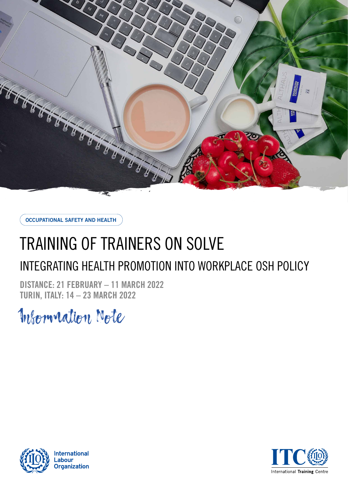

**OCCUPATIONAL SAFETY AND HEALTH**

# TRAINING OF TRAINERS ON SOLVE

# INTEGRATING HEALTH PROMOTION INTO WORKPLACE OSH POLICY

**DISTANCE: 21 FEBRUARY – 11 MARCH 2022 TURIN, ITALY: 14 – 23 MARCH 2022**

Information Note



**International** .abour **Organization** 

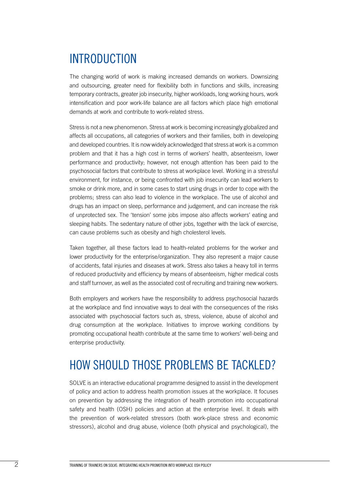# INTRODUCTION

The changing world of work is making increased demands on workers. Downsizing and outsourcing, greater need for flexibility both in functions and skills, increasing temporary contracts, greater job insecurity, higher workloads, long working hours, work intensification and poor work-life balance are all factors which place high emotional demands at work and contribute to work-related stress.

Stress is not a new phenomenon. Stress at work is becoming increasingly globalized and affects all occupations, all categories of workers and their families, both in developing and developed countries. It is now widely acknowledged that stress at work is a common problem and that it has a high cost in terms of workers' health, absenteeism, lower performance and productivity; however, not enough attention has been paid to the psychosocial factors that contribute to stress at workplace level. Working in a stressful environment, for instance, or being confronted with job insecurity can lead workers to smoke or drink more, and in some cases to start using drugs in order to cope with the problems; stress can also lead to violence in the workplace. The use of alcohol and drugs has an impact on sleep, performance and judgement, and can increase the risk of unprotected sex. The 'tension' some jobs impose also affects workers' eating and sleeping habits. The sedentary nature of other jobs, together with the lack of exercise, can cause problems such as obesity and high cholesterol levels.

Taken together, all these factors lead to health-related problems for the worker and lower productivity for the enterprise/organization. They also represent a major cause of accidents, fatal injuries and diseases at work. Stress also takes a heavy toll in terms of reduced productivity and efficiency by means of absenteeism, higher medical costs and staff turnover, as well as the associated cost of recruiting and training new workers.

Both employers and workers have the responsibility to address psychosocial hazards at the workplace and find innovative ways to deal with the consequences of the risks associated with psychosocial factors such as, stress, violence, abuse of alcohol and drug consumption at the workplace. Initiatives to improve working conditions by promoting occupational health contribute at the same time to workers' well-being and enterprise productivity.

### HOW SHOULD THOSE PROBLEMS BE TACKLED?

SOLVE is an interactive educational programme designed to assist in the development of policy and action to address health promotion issues at the workplace. It focuses on prevention by addressing the integration of health promotion into occupational safety and health (OSH) policies and action at the enterprise level. It deals with the prevention of work-related stressors (both work-place stress and economic stressors), alcohol and drug abuse, violence (both physical and psychological), the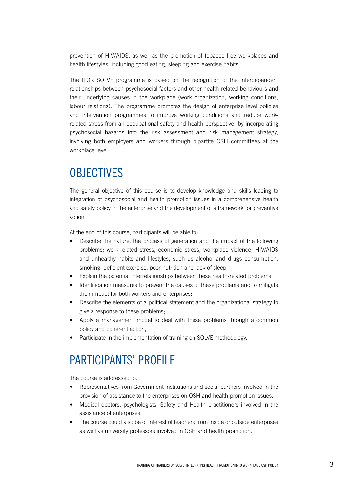prevention of HIV/AIDS, as well as the promotion of tobacco-free workplaces and health lifestyles, including good eating, sleeping and exercise habits.

The ILO's SOLVE programme is based on the recognition of the interdependent relationships between psychosocial factors and other health-related behaviours and their underlying causes in the workplace (work organization, working conditions, labour relations). The programme promotes the design of enterprise level policies and intervention programmes to improve working conditions and reduce workrelated stress from an occupational safety and health perspective by incorporating psychosocial hazards into the risk assessment and risk management strategy, involving both employers and workers through bipartite OSH committees at the workplace level.

## **OBJECTIVES**

The general objective of this course is to develop knowledge and skills leading to integration of psychosocial and health promotion issues in a comprehensive health and safety policy in the enterprise and the development of a framework for preventive action.

At the end of this course, participants will be able to:

- Describe the nature, the process of generation and the impact of the following problems: work-related stress, economic stress, workplace violence, HIV/AIDS and unhealthy habits and lifestyles, such us alcohol and drugs consumption, smoking, deficient exercise, poor nutrition and lack of sleep;
- Explain the potential interrelationships between these health-related problems;
- Identification measures to prevent the causes of these problems and to mitigate their impact for both workers and enterprises;
- Describe the elements of a political statement and the organizational strategy to give a response to these problems;
- Apply a management model to deal with these problems through a common policy and coherent action;
- Participate in the implementation of training on SOLVE methodology.

### PARTICIPANTS' PROFILE

The course is addressed to:

- Representatives from Government institutions and social partners involved in the provision of assistance to the enterprises on OSH and health promotion issues.
- Medical doctors, psychologists, Safety and Health practitioners involved in the assistance of enterprises.
- The course could also be of interest of teachers from inside or outside enterprises as well as university professors involved in OSH and health promotion.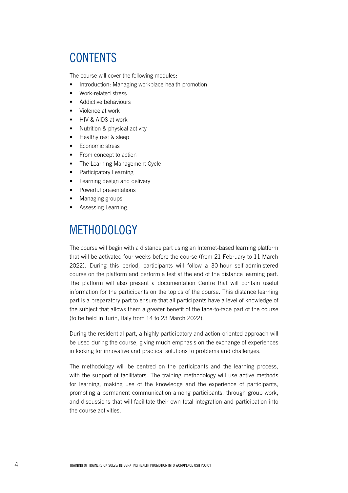### **CONTENTS**

The course will cover the following modules:

- Introduction: Managing workplace health promotion
- Work-related stress
- Addictive behaviours
- Violence at work
- HIV & AIDS at work
- Nutrition & physical activity
- Healthy rest & sleep
- Economic stress
- From concept to action
- The Learning Management Cycle
- Participatory Learning
- Learning design and delivery
- Powerful presentations
- Managing groups
- Assessing Learning.

### METHODOLOGY

The course will begin with a distance part using an Internet-based learning platform that will be activated four weeks before the course (from 21 February to 11 March 2022). During this period, participants will follow a 30-hour self-administered course on the platform and perform a test at the end of the distance learning part. The platform will also present a documentation Centre that will contain useful information for the participants on the topics of the course. This distance learning part is a preparatory part to ensure that all participants have a level of knowledge of the subject that allows them a greater benefit of the face-to-face part of the course (to be held in Turin, Italy from 14 to 23 March 2022).

During the residential part, a highly participatory and action-oriented approach will be used during the course, giving much emphasis on the exchange of experiences in looking for innovative and practical solutions to problems and challenges.

The methodology will be centred on the participants and the learning process, with the support of facilitators. The training methodology will use active methods for learning, making use of the knowledge and the experience of participants, promoting a permanent communication among participants, through group work, and discussions that will facilitate their own total integration and participation into the course activities.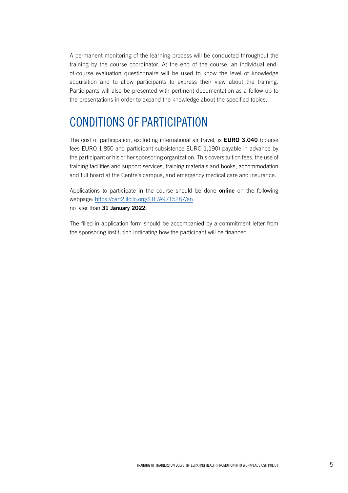A permanent monitoring of the learning process will be conducted throughout the training by the course coordinator. At the end of the course, an individual endof-course evaluation questionnaire will be used to know the level of knowledge acquisition and to allow participants to express their view about the training. Participants will also be presented with pertinent documentation as a follow-up to the presentations in order to expand the knowledge about the specified topics.

# CONDITIONS OF PARTICIPATION

The cost of participation, excluding international air travel, is **EURO 3,040** (course fees EURO 1,850 and participant subsistence EURO 1,190) payable in advance by the participant or his or her sponsoring organization. This covers tuition fees, the use of training facilities and support services, training materials and books, accommodation and full board at the Centre's campus, and emergency medical care and insurance.

Applications to participate in the course should be done **online** on the following webpage: https://oarf2.itcilo.org[/STF/A9715287/en](https://oarf2.itcilo.org/STF/A9715287/en) no later than **31 January 2022**.

The filled-in application form should be accompanied by a commitment letter from the sponsoring institution indicating how the participant will be financed.